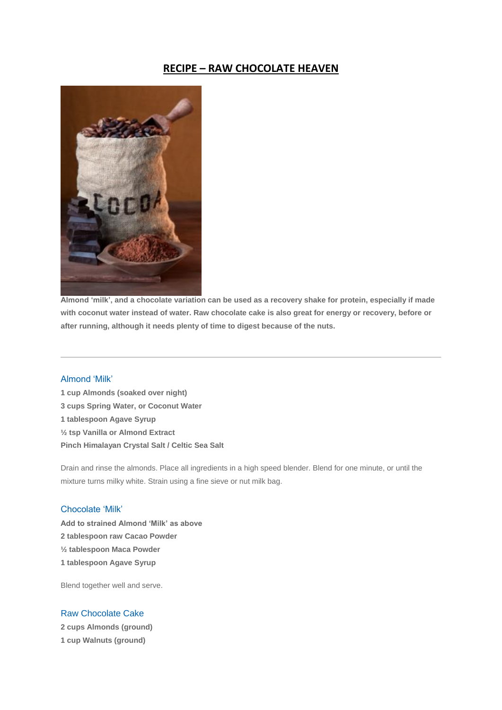## **RECIPE – RAW CHOCOLATE HEAVEN**



**Almond 'milk', and a chocolate variation can be used as a recovery shake for protein, especially if made with coconut water instead of water. Raw chocolate cake is also great for energy or recovery, before or after running, although it needs plenty of time to digest because of the nuts.**

### Almond "Milk"

**1 cup Almonds (soaked over night) 3 cups Spring Water, or Coconut Water 1 tablespoon Agave Syrup ½ tsp Vanilla or Almond Extract Pinch Himalayan Crystal Salt / Celtic Sea Salt** 

Drain and rinse the almonds. Place all ingredients in a high speed blender. Blend for one minute, or until the mixture turns milky white. Strain using a fine sieve or nut milk bag.

## Chocolate "Milk"

**Add to strained Almond 'Milk' as above 2 tablespoon raw Cacao Powder ½ tablespoon Maca Powder 1 tablespoon Agave Syrup**

Blend together well and serve.

# Raw Chocolate Cake

**2 cups Almonds (ground) 1 cup Walnuts (ground)**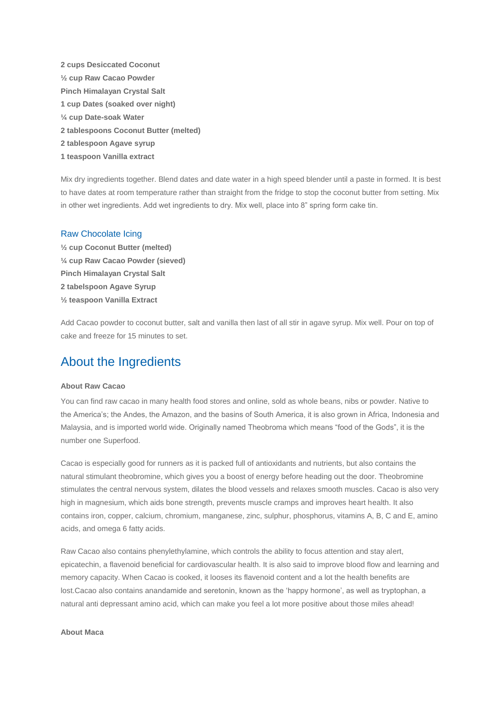**2 cups Desiccated Coconut ½ cup Raw Cacao Powder Pinch Himalayan Crystal Salt 1 cup Dates (soaked over night) ¼ cup Date-soak Water 2 tablespoons Coconut Butter (melted) 2 tablespoon Agave syrup 1 teaspoon Vanilla extract**

Mix dry ingredients together. Blend dates and date water in a high speed blender until a paste in formed. It is best to have dates at room temperature rather than straight from the fridge to stop the coconut butter from setting. Mix in other wet ingredients. Add wet ingredients to dry. Mix well, place into 8" spring form cake tin.

#### Raw Chocolate Icing

**½ cup Coconut Butter (melted) ¼ cup Raw Cacao Powder (sieved) Pinch Himalayan Crystal Salt 2 tabelspoon Agave Syrup ½ teaspoon Vanilla Extract**

Add Cacao powder to coconut butter, salt and vanilla then last of all stir in agave syrup. Mix well. Pour on top of cake and freeze for 15 minutes to set.

# About the Ingredients

#### **About Raw Cacao**

You can find raw cacao in many health food stores and online, sold as whole beans, nibs or powder. Native to the America"s; the Andes, the Amazon, and the basins of South America, it is also grown in Africa, Indonesia and Malaysia, and is imported world wide. Originally named Theobroma which means "food of the Gods", it is the number one Superfood.

Cacao is especially good for runners as it is packed full of antioxidants and nutrients, but also contains the natural stimulant theobromine, which gives you a boost of energy before heading out the door. Theobromine stimulates the central nervous system, dilates the blood vessels and relaxes smooth muscles. Cacao is also very high in magnesium, which aids bone strength, prevents muscle cramps and improves heart health. It also contains iron, copper, calcium, chromium, manganese, zinc, sulphur, phosphorus, vitamins A, B, C and E, amino acids, and omega 6 fatty acids.

Raw Cacao also contains phenylethylamine, which controls the ability to focus attention and stay alert, epicatechin, a flavenoid beneficial for cardiovascular health. It is also said to improve blood flow and learning and memory capacity. When Cacao is cooked, it looses its flavenoid content and a lot the health benefits are lost.Cacao also contains anandamide and seretonin, known as the 'happy hormone', as well as tryptophan, a natural anti depressant amino acid, which can make you feel a lot more positive about those miles ahead!

#### **About Maca**